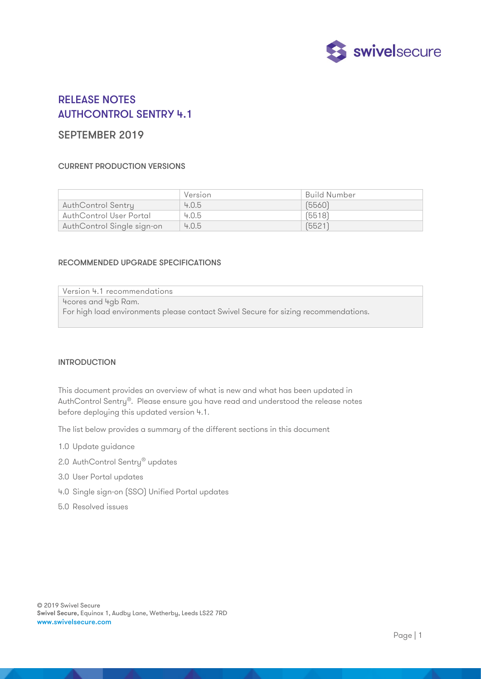

# RELEASE NOTES AUTHCONTROL SENTRY 4.1

# SEPTEMBER 2019

# CURRENT PRODUCTION VERSIONS

|                            | Version | Build Number |
|----------------------------|---------|--------------|
| AuthControl Sentry         | 4.0.5   | (5560)       |
| AuthControl User Portal    | 4.0.5   | (5518)       |
| AuthControl Single sign-on | 4.0.5   | [5521]       |

#### RECOMMENDED UPGRADE SPECIFICATIONS

Version 4.1 recommendations 4cores and 4gb Ram. For high load environments please contact Swivel Secure for sizing recommendations.

#### INTRODUCTION

This document provides an overview of what is new and what has been updated in AuthControl Sentry®. Please ensure you have read and understood the release notes before deploying this updated version 4.1.

The list below provides a summary of the different sections in this document

- 1.0 Update guidance
- 2.0 AuthControl Sentry<sup>®</sup> updates
- 3.0 User Portal updates
- 4.0 Single sign-on (SSO) Unified Portal updates
- 5.0 Resolved issues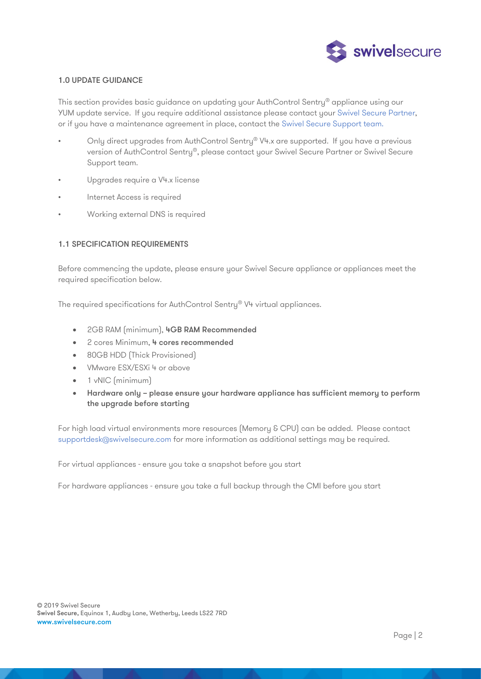

# 1.0 UPDATE GUIDANCE

This section provides basic guidance on updating your AuthControl Sentry<sup>®</sup> appliance using our YUM update service. If you require additional assistance please contact your [Swivel Secure Partner,](https://swivelsecure.com/partners/find-a-partner/) or if you have a maintenance agreement in place, contact the [Swivel Secure Support team.](https://supportdesk.swivelsecure.com/login/user)

- Only direct upgrades from AuthControl Sentry® V4.x are supported. If you have a previous version of AuthControl Sentry®, please contact your Swivel Secure Partner or Swivel Secure Support team.
- Upgrades require a V4.x license
- Internet Access is required
- Working external DNS is required

#### 1.1 SPECIFICATION REQUIREMENTS

Before commencing the update, please ensure your Swivel Secure appliance or appliances meet the required specification below.

The required specifications for AuthControl Sentry® V4 virtual appliances.

- 2GB RAM (minimum), 4GB RAM Recommended
- 2 cores Minimum, 4 cores recommended
- 80GB HDD (Thick Provisioned)
- VMware ESX/ESXi 4 or above
- 1 vNIC (minimum)
- Hardware only please ensure your hardware appliance has sufficient memory to perform the upgrade before starting

For high load virtual environments more resources (Memory & CPU) can be added. Please contact [supportdesk@swivelsecure.com](mailto:supportdesk@swivelsecure.com) for more information as additional settings may be required.

For virtual appliances - ensure you take a snapshot before you start

For hardware appliances - ensure you take a full backup through the CMI before you start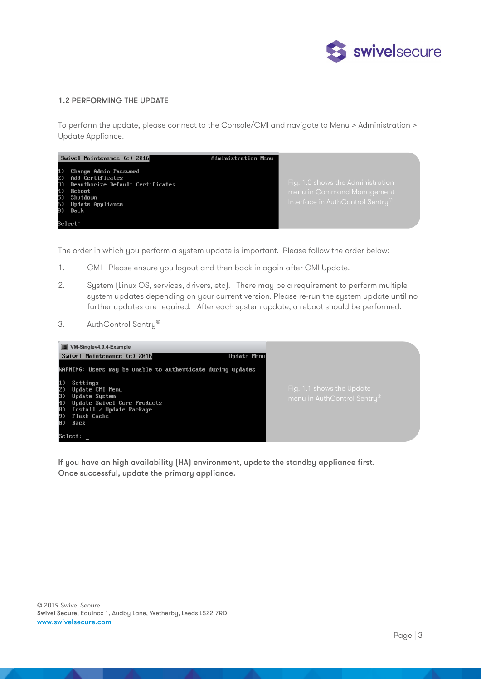

# 1.2 PERFORMING THE UPDATE

To perform the update, please connect to the Console/CMI and navigate to Menu > Administration > Update Appliance.



The order in which you perform a system update is important. Please follow the order below:

- 1. CMI Please ensure you logout and then back in again after CMI Update.
- 2. System (Linux OS, services, drivers, etc). There may be a requirement to perform multiple system updates depending on your current version. Please re-run the system update until no further updates are required. After each system update, a reboot should be performed.
- 3. AuthControl Sentry®



If you have an high availability (HA) environment, update the standby appliance first. Once successful, update the primary appliance.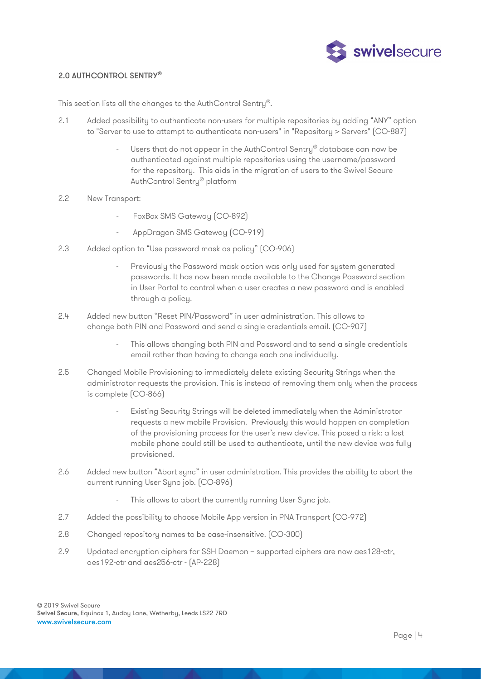

#### 2.0 AUTHCONTROL SENTRY®

This section lists all the changes to the AuthControl Sentry®.

- 2.1 Added possibility to authenticate non-users for multiple repositories by adding "ANY" option to "Server to use to attempt to authenticate non-users" in "Repository > Servers" (CO-887)
	- Users that do not appear in the AuthControl Sentry® database can now be authenticated against multiple repositories using the username/password for the repository. This aids in the migration of users to the Swivel Secure AuthControl Sentry® platform
- 2.2 New Transport:
	- FoxBox SMS Gateway (CO-892)
	- AppDragon SMS Gateway (CO-919)
- 2.3 Added option to "Use password mask as policy" (CO-906)
	- Previously the Password mask option was only used for system generated passwords. It has now been made available to the Change Password section in User Portal to control when a user creates a new password and is enabled through a policy.
- 2.4 Added new button "Reset PIN/Password" in user administration. This allows to change both PIN and Password and send a single credentials email. (CO-907)
	- This allows changing both PIN and Password and to send a single credentials email rather than having to change each one individually.
- 2.5 Changed Mobile Provisioning to immediately delete existing Security Strings when the administrator requests the provision. This is instead of removing them only when the process is complete (CO-866)
	- Existing Security Strings will be deleted immediately when the Administrator requests a new mobile Provision. Previously this would happen on completion of the provisioning process for the user's new device. This posed a risk: a lost mobile phone could still be used to authenticate, until the new device was fully provisioned.
- 2.6 Added new button "Abort sync" in user administration. This provides the ability to abort the current running User Sync job. (CO-896)
	- This allows to abort the currently running User Sync job.
- 2.7 Added the possibility to choose Mobile App version in PNA Transport (CO-972)
- 2.8 Changed repository names to be case-insensitive. (CO-300)
- 2.9 Updated encryption ciphers for SSH Daemon supported ciphers are now aes128-ctr, aes192-ctr and aes256-ctr - (AP-228)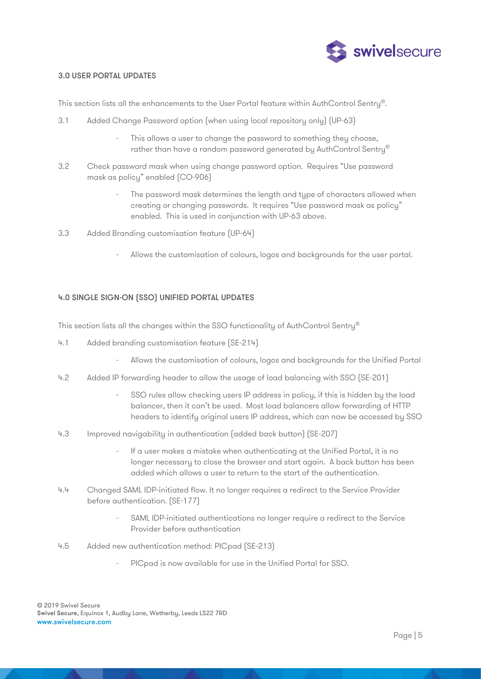

#### 3.0 USER PORTAL UPDATES

This section lists all the enhancements to the User Portal feature within AuthControl Sentry®.

- 3.1 Added Change Password option (when using local repository only) (UP-63)
	- This allows a user to change the password to something they choose, rather than have a random password generated by AuthControl Sentry®
- 3.2 Check password mask when using change password option. Requires "Use password mask as policy" enabled (CO-906)
	- The password mask determines the length and type of characters allowed when creating or changing passwords. It requires "Use password mask as policy" enabled. This is used in conjunction with UP-63 above.
- 3.3 Added Branding customisation feature (UP-64)
	- Allows the customisation of colours, logos and backgrounds for the user portal.

# 4.0 SINGLE SIGN-ON (SSO) UNIFIED PORTAL UPDATES

This section lists all the changes within the SSO functionality of AuthControl Sentry®

- 4.1 Added branding customisation feature (SE-214)
	- Allows the customisation of colours, logos and backgrounds for the Unified Portal
- 4.2 Added IP forwarding header to allow the usage of load balancing with SSO (SE-201)
	- SSO rules allow checking users IP address in policy, if this is hidden by the load balancer, then it can't be used. Most load balancers allow forwarding of HTTP headers to identify original users IP address, which can now be accessed by SSO
- 4.3 Improved navigability in authentication (added back button) (SE-207)
	- If a user makes a mistake when authenticating at the Unified Portal, it is no longer necessary to close the browser and start again. A back button has been added which allows a user to return to the start of the authentication.
- 4.4 Changed SAML IDP-initiated flow. It no longer requires a redirect to the Service Provider before authentication. (SE-177)
	- SAML IDP-initiated authentications no longer require a redirect to the Service Provider before authentication
- 4.5 Added new authentication method: PICpad (SE-213)
	- PIC pad is now available for use in the Unified Portal for SSO.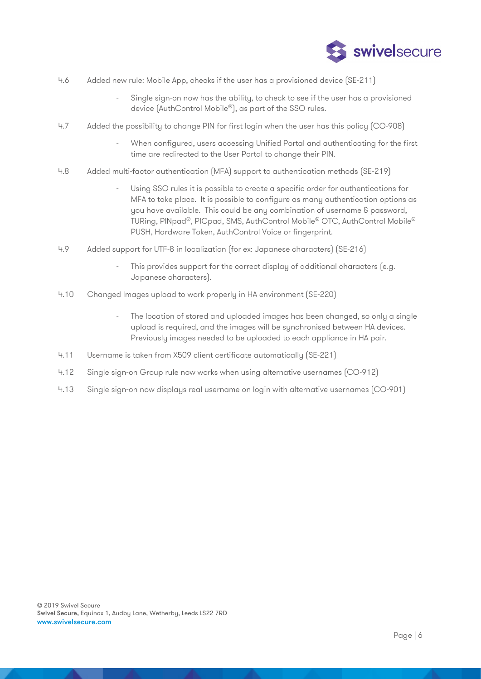

- 4.6 Added new rule: Mobile App, checks if the user has a provisioned device (SE-211)
	- Single sign-on now has the ability, to check to see if the user has a provisioned device (AuthControl Mobile®), as part of the SSO rules.
- 4.7 Added the possibility to change PIN for first login when the user has this policy (CO-908)
	- When configured, users accessing Unified Portal and authenticating for the first time are redirected to the User Portal to change their PIN.
- 4.8 Added multi-factor authentication (MFA) support to authentication methods (SE-219)
	- Using SSO rules it is possible to create a specific order for authentications for MFA to take place. It is possible to configure as many authentication options as you have available. This could be any combination of username & password, TURing, PINpad®, PICpad, SMS, AuthControl Mobile® OTC, AuthControl Mobile® PUSH, Hardware Token, AuthControl Voice or fingerprint.
- 4.9 Added support for UTF-8 in localization (for ex: Japanese characters) (SE-216)
	- This provides support for the correct display of additional characters (e.g. Japanese characters).
- 4.10 Changed Images upload to work properly in HA environment (SE-220)
	- The location of stored and uploaded images has been changed, so only a single upload is required, and the images will be synchronised between HA devices. Previously images needed to be uploaded to each appliance in HA pair.
- 4.11 Username is taken from X509 client certificate automatically (SE-221)
- 4.12 Single sign-on Group rule now works when using alternative usernames (CO-912)
- 4.13 Single sign-on now displays real username on login with alternative usernames (CO-901)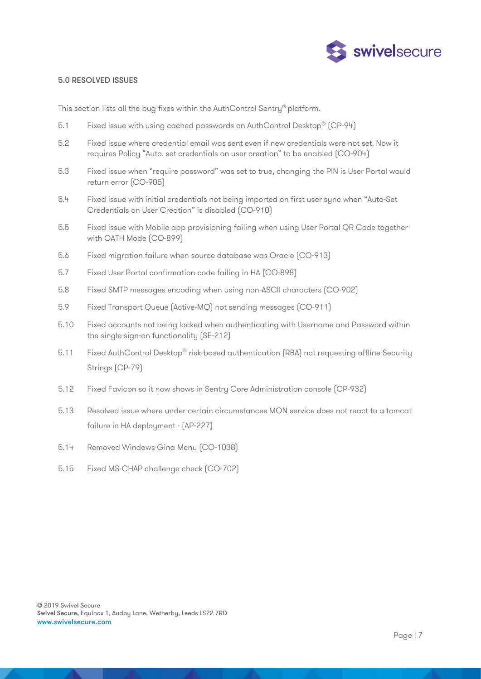

#### 5.0 RESOLVED ISSUES

This section lists all the bug fixes within the AuthControl Sentry® platform.

- 5.1 Fixed issue with using cached passwords on AuthControl Desktop® (CP-94)
- 5.2 Fixed issue where credential email was sent even if new credentials were not set. Now it requires Policy "Auto. set credentials on user creation" to be enabled (CO-904)
- 5.3 Fixed issue when "require password" was set to true, changing the PIN is User Portal would return error (CO-905)
- 5.4 Fixed issue with initial credentials not being imported on first user sync when "Auto-Set Credentials on User Creation" is disabled (CO-910)
- 5.5 Fixed issue with Mobile app provisioning failing when using User Portal QR Code together with OATH Mode (CO-899)
- 5.6 Fixed migration failure when source database was Oracle (CO-913)
- 5.7 Fixed User Portal confirmation code failing in HA (CO-898)
- 5.8 Fixed SMTP messages encoding when using non-ASCII characters (CO-902)
- 5.9 Fixed Transport Queue (Active-MQ) not sending messages (CO-911)
- 5.10 Fixed accounts not being locked when authenticating with Username and Password within the single sign-on functionality (SE-212)
- 5.11 Fixed AuthControl Desktop® risk-based authentication (RBA) not requesting offline Security Strings (CP-79)
- 5.12 Fixed Favicon so it now shows in Sentry Core Administration console (CP-932)
- 5.13 Resolved issue where under certain circumstances MON service does not react to a tomcat failure in HA deployment - (AP-227)
- 5.14 Removed Windows Gina Menu (CO-1038)
- 5.15 Fixed MS-CHAP challenge check (CO-702)